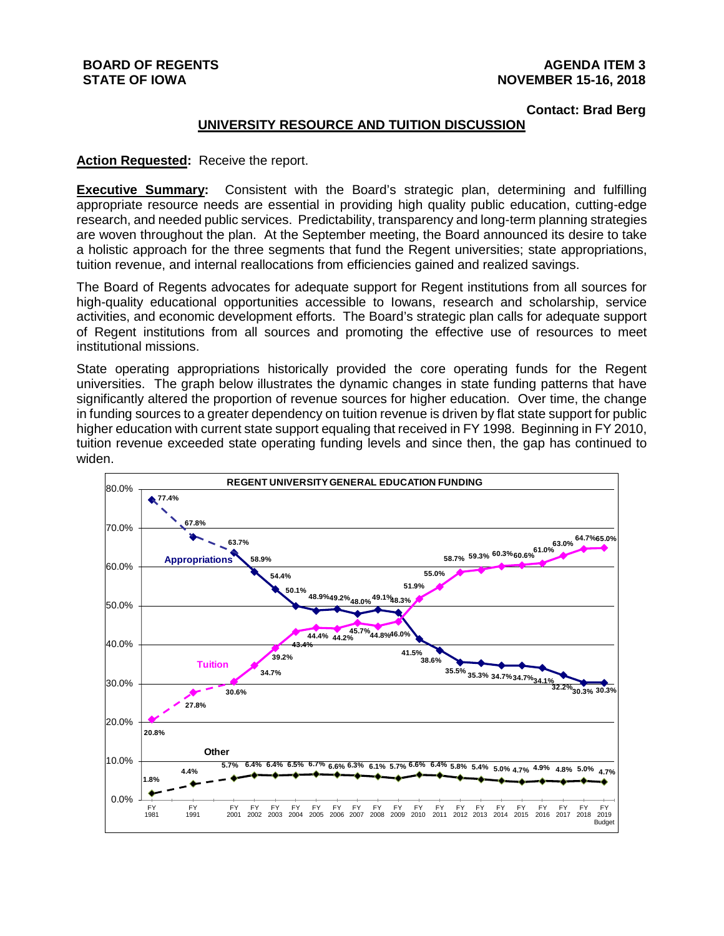# **BOARD OF REGENTS STATE OF IOWA**

# **Contact: Brad Berg**

## **UNIVERSITY RESOURCE AND TUITION DISCUSSION**

#### **Action Requested:** Receive the report.

**Executive Summary:** Consistent with the Board's strategic plan, determining and fulfilling appropriate resource needs are essential in providing high quality public education, cutting-edge research, and needed public services. Predictability, transparency and long-term planning strategies are woven throughout the plan. At the September meeting, the Board announced its desire to take a holistic approach for the three segments that fund the Regent universities; state appropriations, tuition revenue, and internal reallocations from efficiencies gained and realized savings.

The Board of Regents advocates for adequate support for Regent institutions from all sources for high-quality educational opportunities accessible to Iowans, research and scholarship, service activities, and economic development efforts. The Board's strategic plan calls for adequate support of Regent institutions from all sources and promoting the effective use of resources to meet institutional missions.

State operating appropriations historically provided the core operating funds for the Regent universities. The graph below illustrates the dynamic changes in state funding patterns that have significantly altered the proportion of revenue sources for higher education. Over time, the change in funding sources to a greater dependency on tuition revenue is driven by flat state support for public higher education with current state support equaling that received in FY 1998. Beginning in FY 2010, tuition revenue exceeded state operating funding levels and since then, the gap has continued to widen.

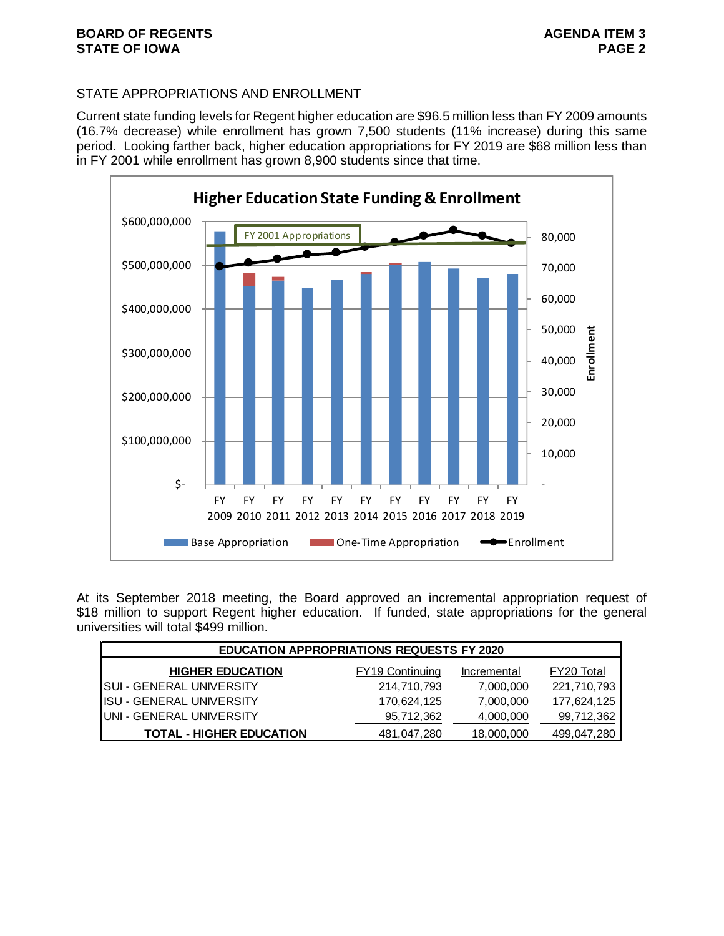# STATE APPROPRIATIONS AND ENROLLMENT

Current state funding levels for Regent higher education are \$96.5 million less than FY 2009 amounts (16.7% decrease) while enrollment has grown 7,500 students (11% increase) during this same period. Looking farther back, higher education appropriations for FY 2019 are \$68 million less than in FY 2001 while enrollment has grown 8,900 students since that time.



At its September 2018 meeting, the Board approved an incremental appropriation request of \$18 million to support Regent higher education. If funded, state appropriations for the general universities will total \$499 million.

| <b>EDUCATION APPROPRIATIONS REQUESTS FY 2020</b> |                        |             |             |  |  |
|--------------------------------------------------|------------------------|-------------|-------------|--|--|
| <b>HIGHER EDUCATION</b>                          | <b>FY19 Continuing</b> | Incremental | FY20 Total  |  |  |
| <b>SUI - GENERAL UNIVERSITY</b>                  | 214,710,793            | 7,000,000   | 221,710,793 |  |  |
| <b>IISU - GENERAL UNIVERSITY</b>                 | 170,624,125            | 7,000,000   | 177,624,125 |  |  |
| UNI - GENERAL UNIVERSITY                         | 95,712,362             | 4,000,000   | 99,712,362  |  |  |
| <b>TOTAL - HIGHER EDUCATION</b>                  | 481,047,280            | 18,000,000  | 499,047,280 |  |  |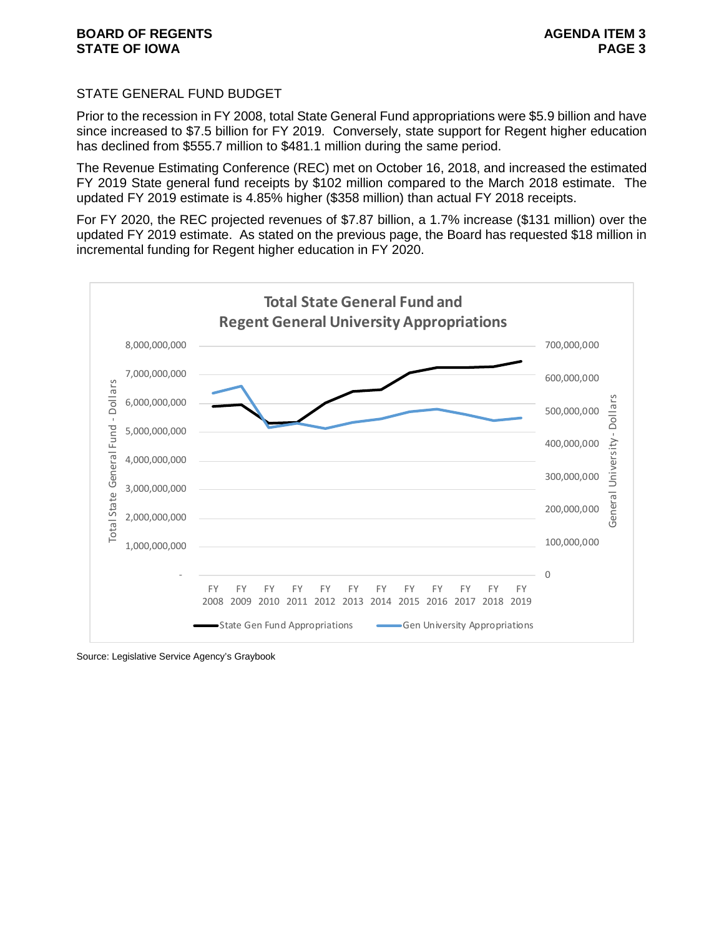## STATE GENERAL FUND BUDGET

Prior to the recession in FY 2008, total State General Fund appropriations were \$5.9 billion and have since increased to \$7.5 billion for FY 2019. Conversely, state support for Regent higher education has declined from \$555.7 million to \$481.1 million during the same period.

The Revenue Estimating Conference (REC) met on October 16, 2018, and increased the estimated FY 2019 State general fund receipts by \$102 million compared to the March 2018 estimate. The updated FY 2019 estimate is 4.85% higher (\$358 million) than actual FY 2018 receipts.

For FY 2020, the REC projected revenues of \$7.87 billion, a 1.7% increase (\$131 million) over the updated FY 2019 estimate. As stated on the previous page, the Board has requested \$18 million in incremental funding for Regent higher education in FY 2020.



Source: Legislative Service Agency's Graybook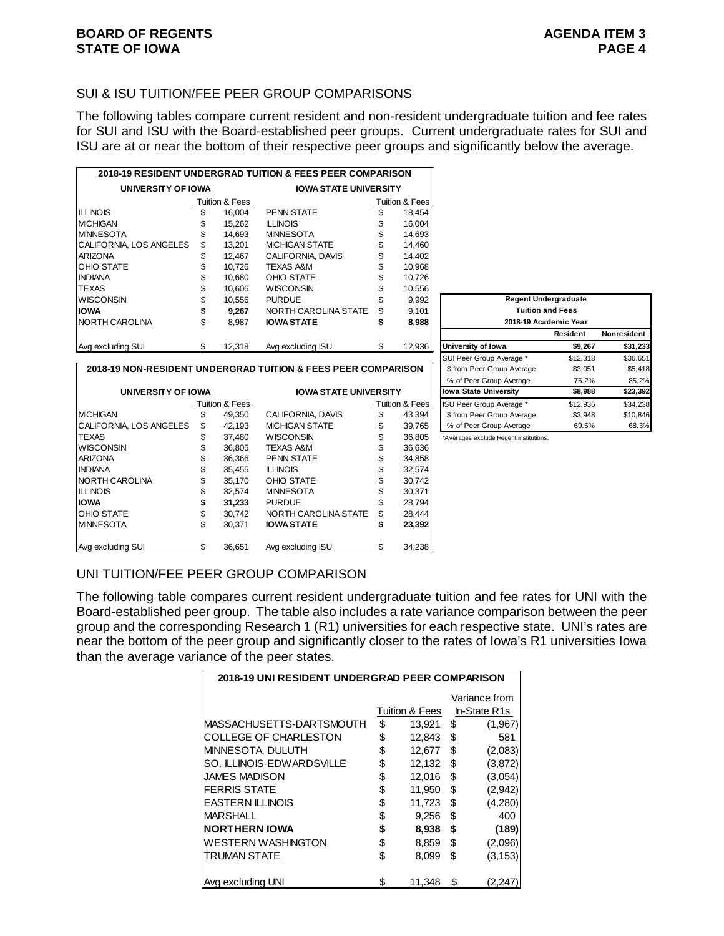# SUI & ISU TUITION/FEE PEER GROUP COMPARISONS

The following tables compare current resident and non-resident undergraduate tuition and fee rates for SUI and ISU with the Board-established peer groups. Current undergraduate rates for SUI and ISU are at or near the bottom of their respective peer groups and significantly below the average.

|                          |    |                | 2018-19 RESIDENT UNDERGRAD TUITION & FEES PEER COMPARISON |    |                |
|--------------------------|----|----------------|-----------------------------------------------------------|----|----------------|
| UNIVERSITY OF IOWA       |    |                | <b>IOWA STATE UNIVERSITY</b>                              |    |                |
|                          |    | Tuition & Fees |                                                           |    | Tuition & Fees |
| <b>ILLINOIS</b>          |    | 16.004         | <b>PENN STATE</b>                                         |    | 18,454         |
| <b>MICHIGAN</b>          |    | 15.262         | <b>ILLINOIS</b>                                           |    | 16.004         |
| <b>IMINNESOTA</b>        | \$ | 14.693         | <b>MINNESOTA</b>                                          |    | 14,693         |
| ICALIFORNIA. LOS ANGELES | \$ | 13.201         | <b>MICHIGAN STATE</b>                                     | S  | 14,460         |
| <b>ARIZONA</b>           | \$ | 12.467         | CALIFORNIA, DAVIS                                         | \$ | 14,402         |
| <b>OHIO STATE</b>        | \$ | 10.726         | <b>TEXAS A&amp;M</b>                                      |    | 10,968         |
| <b>INDIANA</b>           |    | 10.680         | OHIO STATE                                                |    | 10,726         |
| <b>TEXAS</b>             | \$ | 10.606         | <b>WISCONSIN</b>                                          |    | 10,556         |
| <b>WISCONSIN</b>         | \$ | 10.556         | <b>PURDUE</b>                                             | \$ | 9,992          |
| <b>IOWA</b>              |    | 9.267          | NORTH CAROLINA STATE                                      | \$ | 9,101          |
| NORTH CAROLINA           | \$ | 8.987          | <b>IOWA STATE</b>                                         | \$ | 8,988          |
|                          |    |                |                                                           |    |                |
| Avg excluding SUI        | \$ | 12,318         | Avg excluding ISU                                         | \$ | 12,936         |

CALIFORNIA, LOS ANGELES \$42,193 MICHIGAN STATE \$39,765

**UNIVERSITY OF IOWA IOWA STATE UNIVERSITY**

**2018-19 NON-RESIDENT UNDERGRAD TUITION & FEES PEER COMPARISON**

WISCONSIN \$ 36,805 TEXAS A&M \$ 36,636

INDIANA \$ 35,455 ILLINOIS \$ 32,574 NORTH CAROLINA  $$35,170$  OHIO STATE  $$30,742$ ILLINOIS \$ 32,574 MINNESOTA \$ 30,371<br>**IOWA** \$ 31,233 PURDUE \$ 28,794

OHIO STATE  $$30,742$  NORTH CAROLINA STATE  $$24,444$ <br>MINNESOTA  $$30,371$  **IOWA STATE**  $$23,392$ 

Avg excluding SUI \$ 36,651 Avg excluding ISU \$ 34,238

 $\frac{\text{Tution 8 Fees}}{\$}$  49,350 CALIFORNIA, DAVIS  $\frac{\$text{Tution 8 Fees}}{\$}$  43,394

\$ 36,366 PENN STATE \$ 34,858

**\$ 31,233 PURDUE \$** 

**IOWA STATE** 

| <b>Regent Undergraduate</b>  |          |             |  |  |
|------------------------------|----------|-------------|--|--|
| <b>Tuition and Fees</b>      |          |             |  |  |
| 2018-19 Academic Year        |          |             |  |  |
|                              | Resident | Nonresident |  |  |
| University of Iowa           | \$9,267  | \$31,233    |  |  |
| SUI Peer Group Average *     | \$12,318 | \$36,651    |  |  |
| \$ from Peer Group Average   | \$3.051  | \$5,418     |  |  |
| % of Peer Group Average      | 75.2%    | 85.2%       |  |  |
| <b>Iowa State University</b> | \$8,988  | \$23,392    |  |  |
| ISU Peer Group Average *     | \$12,936 | \$34,238    |  |  |
| \$ from Peer Group Average   | \$3,948  | \$10,846    |  |  |
| % of Peer Group Average      | 69.5%    | 68.3%       |  |  |

TEXAS 6 37,480 WISCONSIN \$ 36,805 \*Averages exclude Regent institutions.

# UNI TUITION/FEE PEER GROUP COMPARISON

MICHIGAN  $\overline{\$}$  49,350 CALIFORNIA, DAVIS

The following table compares current resident undergraduate tuition and fee rates for UNI with the Board-established peer group. The table also includes a rate variance comparison between the peer group and the corresponding Research 1 (R1) universities for each respective state. UNI's rates are near the bottom of the peer group and significantly closer to the rates of Iowa's R1 universities Iowa than the average variance of the peer states.

| 2018-19 UNI RESIDENT UNDERGRAD PEER COMPARISON |    |                |    |               |  |
|------------------------------------------------|----|----------------|----|---------------|--|
|                                                |    |                |    | Variance from |  |
|                                                |    | Tuition & Fees |    | In-State R1s  |  |
| MASSACHUSETTS-DARTSMOUTH                       | \$ | 13,921         | \$ | (1,967)       |  |
| COLLEGE OF CHARLESTON                          | \$ | 12,843         | \$ | 581           |  |
| MINNESOTA, DULUTH                              | \$ | 12.677         | \$ | (2,083)       |  |
| SO. ILLINOIS-EDWARDSVILLE                      | \$ | 12,132         | \$ | (3,872)       |  |
| <b>JAMES MADISON</b>                           | \$ | 12,016         | \$ | (3,054)       |  |
| <b>FERRIS STATE</b>                            | \$ | 11,950         | \$ | (2,942)       |  |
| <b>EASTERN ILLINOIS</b>                        | \$ | 11,723         | \$ | (4,280)       |  |
| <b>MARSHALL</b>                                | \$ | 9,256          | \$ | 400           |  |
| <b>NORTHERN IOWA</b>                           | \$ | 8,938          | \$ | (189)         |  |
| <b>WESTERN WASHINGTON</b>                      | \$ | 8,859          | \$ | (2,096)       |  |
| <b>TRUMAN STATE</b>                            | \$ | 8,099          | \$ | (3, 153)      |  |
|                                                |    |                |    |               |  |
| Avg excluding UNI                              | \$ | 11,348         | S  | (2,247        |  |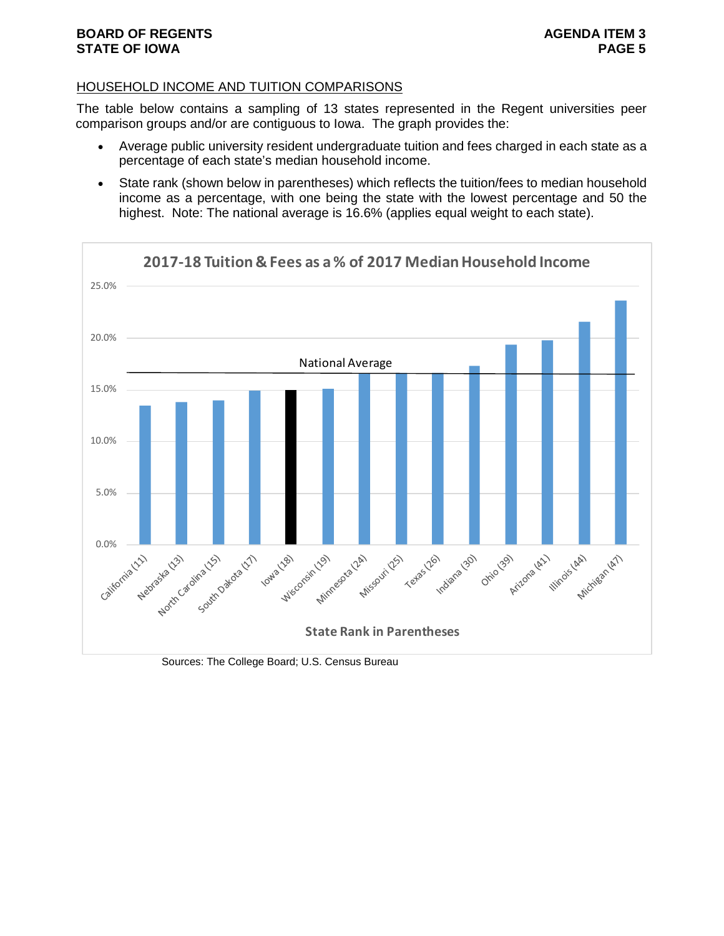# HOUSEHOLD INCOME AND TUITION COMPARISONS

The table below contains a sampling of 13 states represented in the Regent universities peer comparison groups and/or are contiguous to Iowa. The graph provides the:

- Average public university resident undergraduate tuition and fees charged in each state as a percentage of each state's median household income.
- State rank (shown below in parentheses) which reflects the tuition/fees to median household income as a percentage, with one being the state with the lowest percentage and 50 the highest. Note: The national average is 16.6% (applies equal weight to each state).



Sources: The College Board; U.S. Census Bureau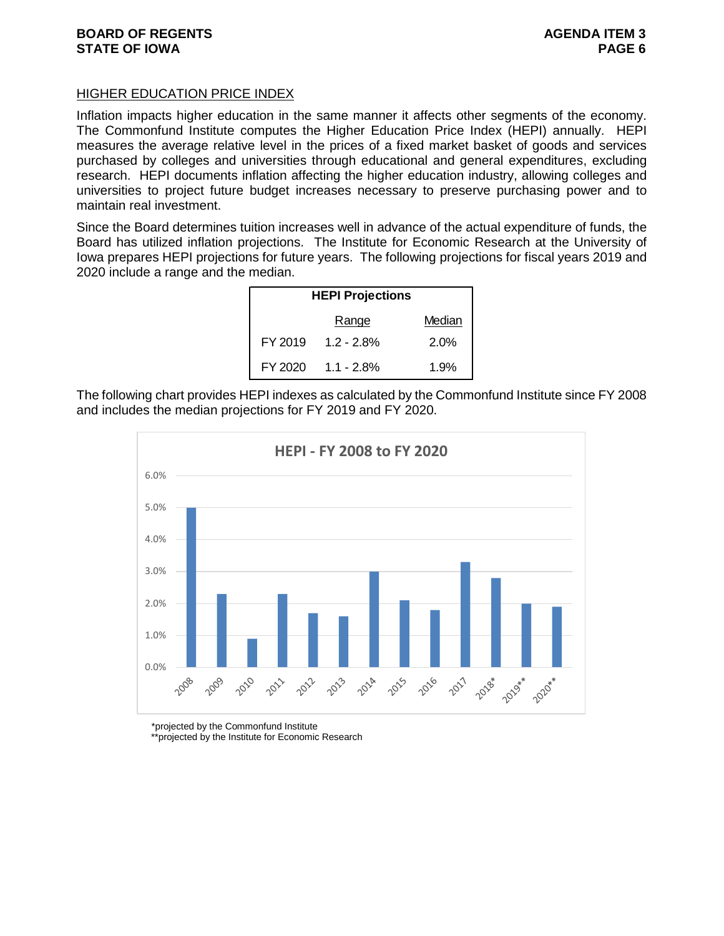# HIGHER EDUCATION PRICE INDEX

Inflation impacts higher education in the same manner it affects other segments of the economy. The Commonfund Institute computes the Higher Education Price Index (HEPI) annually. HEPI measures the average relative level in the prices of a fixed market basket of goods and services purchased by colleges and universities through educational and general expenditures, excluding research. HEPI documents inflation affecting the higher education industry, allowing colleges and universities to project future budget increases necessary to preserve purchasing power and to maintain real investment.

Since the Board determines tuition increases well in advance of the actual expenditure of funds, the Board has utilized inflation projections. The Institute for Economic Research at the University of Iowa prepares HEPI projections for future years. The following projections for fiscal years 2019 and 2020 include a range and the median.

| <b>HEPI Projections</b> |                    |        |  |  |
|-------------------------|--------------------|--------|--|--|
|                         | Range              | Median |  |  |
| FY 2019                 | $1.2 - 2.8%$       | 2.0%   |  |  |
|                         | FY 2020 1.1 - 2.8% | 1.9%   |  |  |

The following chart provides HEPI indexes as calculated by the Commonfund Institute since FY 2008 and includes the median projections for FY 2019 and FY 2020.



\*projected by the Commonfund Institute

\*\*projected by the Institute for Economic Research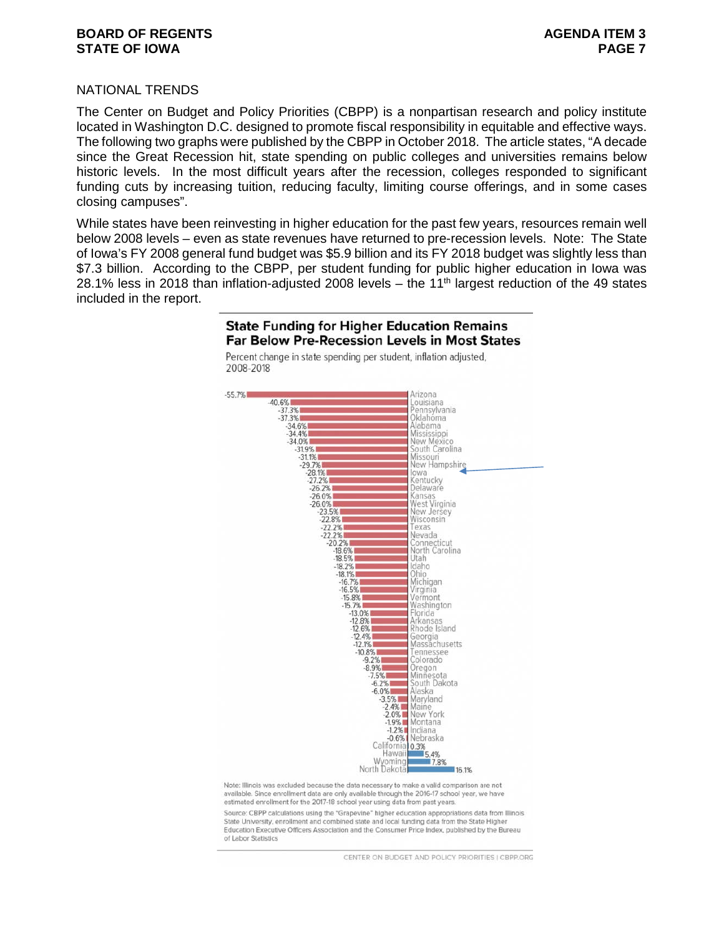## **BOARD OF REGENTS AGENUS AGENDA ITEM 3 STATE OF IOWA PAGE 7**

## NATIONAL TRENDS

The Center on Budget and Policy Priorities (CBPP) is a nonpartisan research and policy institute located in Washington D.C. designed to promote fiscal responsibility in equitable and effective ways. The following two graphs were published by the CBPP in October 2018. The article states, "A decade since the Great Recession hit, state spending on public colleges and universities remains below historic levels. In the most difficult years after the recession, colleges responded to significant funding cuts by increasing tuition, reducing faculty, limiting course offerings, and in some cases closing campuses".

While states have been reinvesting in higher education for the past few years, resources remain well below 2008 levels – even as state revenues have returned to pre-recession levels. Note: The State of Iowa's FY 2008 general fund budget was \$5.9 billion and its FY 2018 budget was slightly less than \$7.3 billion. According to the CBPP, per student funding for public higher education in Iowa was 28.1% less in 2018 than inflation-adjusted 2008 levels – the 11<sup>th</sup> largest reduction of the 49 states included in the report.



Percent change in state spending per student, inflation adjusted,

**State Funding for Higher Education Remains Far Below Pre-Recession Levels in Most States** 

Note: Illinois was excluded because the data necessary to make a valid comparison are not available. Since enrollment data are only available through the 2016-17 school year, we have estimated enrollment for the 2017-18 school year using data from past years.

Source: CBPP calculations using the "Grapevine" higher education appropriations data from Illinois State University, enrollment and combined state and local funding data from the State Higher Education Executive Officers Association and the Consumer Price Index, published by the Bureau of Labor Statistics

CENTER ON BUDGET AND POLICY PRIORITIES LCBPP ORG.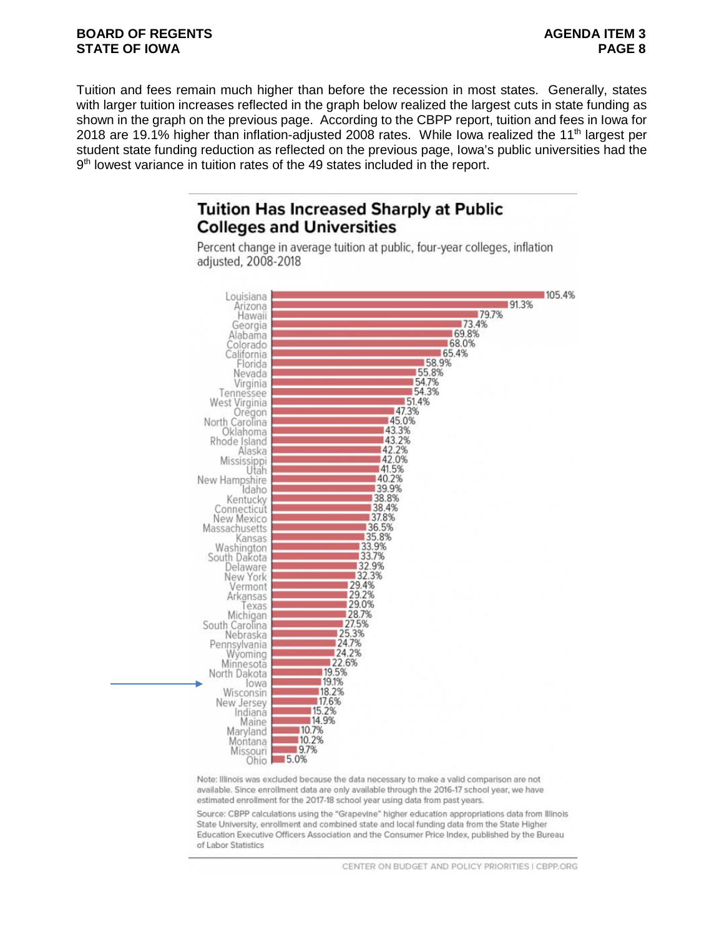# **BOARD OF REGENTS AGENUS AGENDA ITEM 3 STATE OF IOWA PAGE 8**

Tuition and fees remain much higher than before the recession in most states. Generally, states with larger tuition increases reflected in the graph below realized the largest cuts in state funding as shown in the graph on the previous page. According to the CBPP report, tuition and fees in Iowa for 2018 are 19.1% higher than inflation-adjusted 2008 rates. While Iowa realized the 11<sup>th</sup> largest per student state funding reduction as reflected on the previous page, Iowa's public universities had the 9<sup>th</sup> lowest variance in tuition rates of the 49 states included in the report.

# **Tuition Has Increased Sharply at Public Colleges and Universities**

Percent change in average tuition at public, four-year colleges, inflation adjusted, 2008-2018



Note: Illinois was excluded because the data necessary to make a valid comparison are not available. Since enrollment data are only available through the 2016-17 school year, we have estimated enrollment for the 2017-18 school year using data from past years.

Source: CBPP calculations using the "Grapevine" higher education appropriations data from Illinois State University, enrollment and combined state and local funding data from the State Higher Education Executive Officers Association and the Consumer Price Index, published by the Bureau of Labor Statistics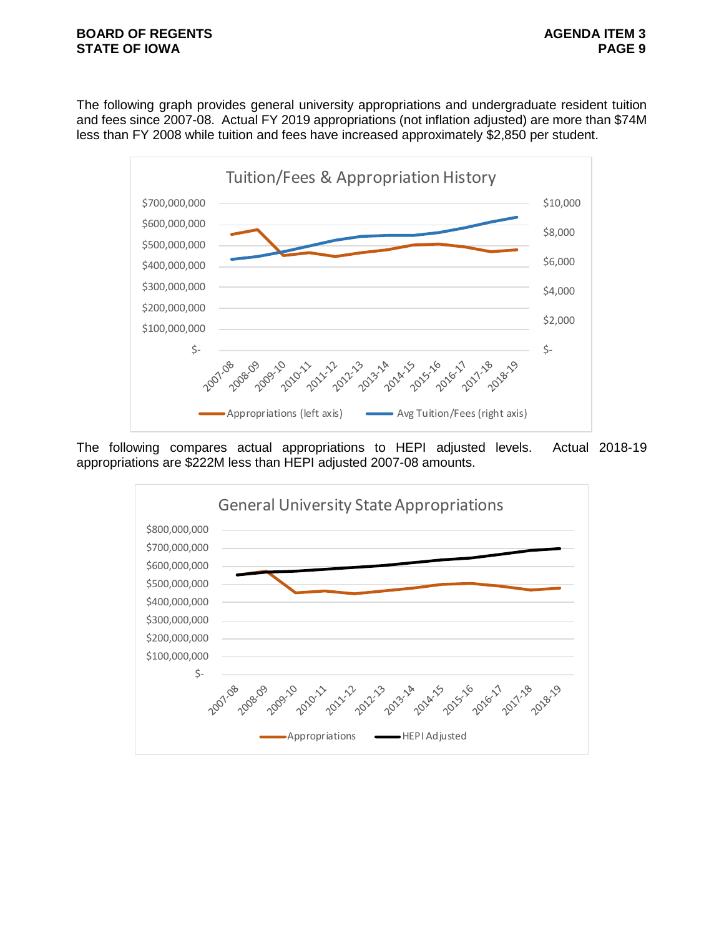The following graph provides general university appropriations and undergraduate resident tuition and fees since 2007-08. Actual FY 2019 appropriations (not inflation adjusted) are more than \$74M less than FY 2008 while tuition and fees have increased approximately \$2,850 per student.



The following compares actual appropriations to HEPI adjusted levels. Actual 2018-19 appropriations are \$222M less than HEPI adjusted 2007-08 amounts.

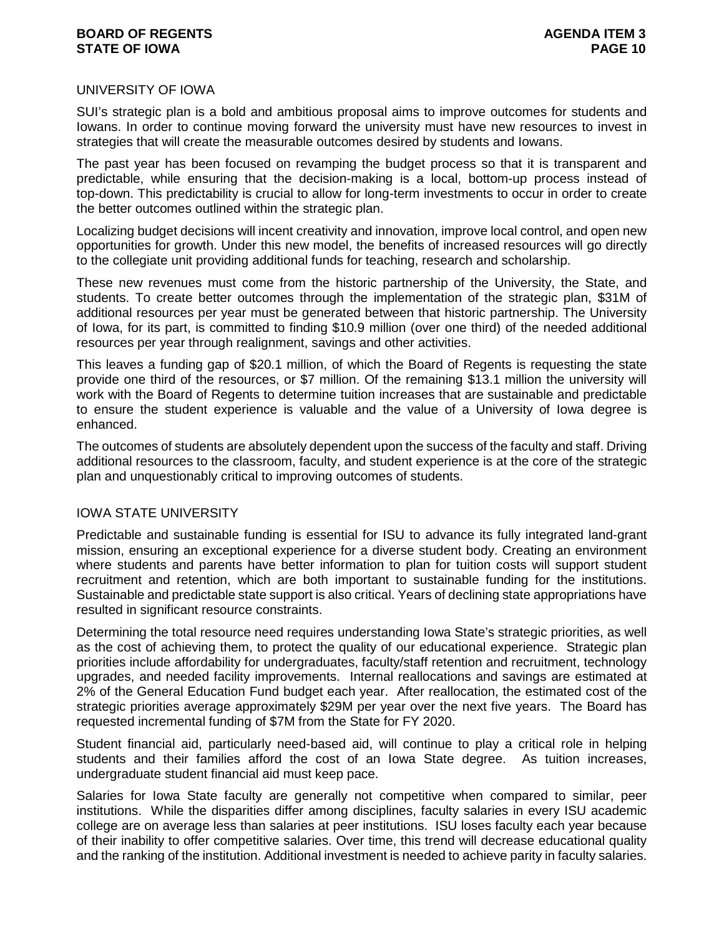## **BOARD OF REGENTS AGENUS AGENDA ITEM 3 STATE OF IOWA PAGE 10**

## UNIVERSITY OF IOWA

SUI's strategic plan is a bold and ambitious proposal aims to improve outcomes for students and Iowans. In order to continue moving forward the university must have new resources to invest in strategies that will create the measurable outcomes desired by students and Iowans.

The past year has been focused on revamping the budget process so that it is transparent and predictable, while ensuring that the decision-making is a local, bottom-up process instead of top-down. This predictability is crucial to allow for long-term investments to occur in order to create the better outcomes outlined within the strategic plan.

Localizing budget decisions will incent creativity and innovation, improve local control, and open new opportunities for growth. Under this new model, the benefits of increased resources will go directly to the collegiate unit providing additional funds for teaching, research and scholarship.

These new revenues must come from the historic partnership of the University, the State, and students. To create better outcomes through the implementation of the strategic plan, \$31M of additional resources per year must be generated between that historic partnership. The University of Iowa, for its part, is committed to finding \$10.9 million (over one third) of the needed additional resources per year through realignment, savings and other activities.

This leaves a funding gap of \$20.1 million, of which the Board of Regents is requesting the state provide one third of the resources, or \$7 million. Of the remaining \$13.1 million the university will work with the Board of Regents to determine tuition increases that are sustainable and predictable to ensure the student experience is valuable and the value of a University of Iowa degree is enhanced.

The outcomes of students are absolutely dependent upon the success of the faculty and staff. Driving additional resources to the classroom, faculty, and student experience is at the core of the strategic plan and unquestionably critical to improving outcomes of students.

## IOWA STATE UNIVERSITY

Predictable and sustainable funding is essential for ISU to advance its fully integrated land-grant mission, ensuring an exceptional experience for a diverse student body. Creating an environment where students and parents have better information to plan for tuition costs will support student recruitment and retention, which are both important to sustainable funding for the institutions. Sustainable and predictable state support is also critical. Years of declining state appropriations have resulted in significant resource constraints.

Determining the total resource need requires understanding Iowa State's strategic priorities, as well as the cost of achieving them, to protect the quality of our educational experience. Strategic plan priorities include affordability for undergraduates, faculty/staff retention and recruitment, technology upgrades, and needed facility improvements. Internal reallocations and savings are estimated at 2% of the General Education Fund budget each year. After reallocation, the estimated cost of the strategic priorities average approximately \$29M per year over the next five years. The Board has requested incremental funding of \$7M from the State for FY 2020.

Student financial aid, particularly need-based aid, will continue to play a critical role in helping students and their families afford the cost of an Iowa State degree. As tuition increases, undergraduate student financial aid must keep pace.

Salaries for Iowa State faculty are generally not competitive when compared to similar, peer institutions. While the disparities differ among disciplines, faculty salaries in every ISU academic college are on average less than salaries at peer institutions. ISU loses faculty each year because of their inability to offer competitive salaries. Over time, this trend will decrease educational quality and the ranking of the institution. Additional investment is needed to achieve parity in faculty salaries.